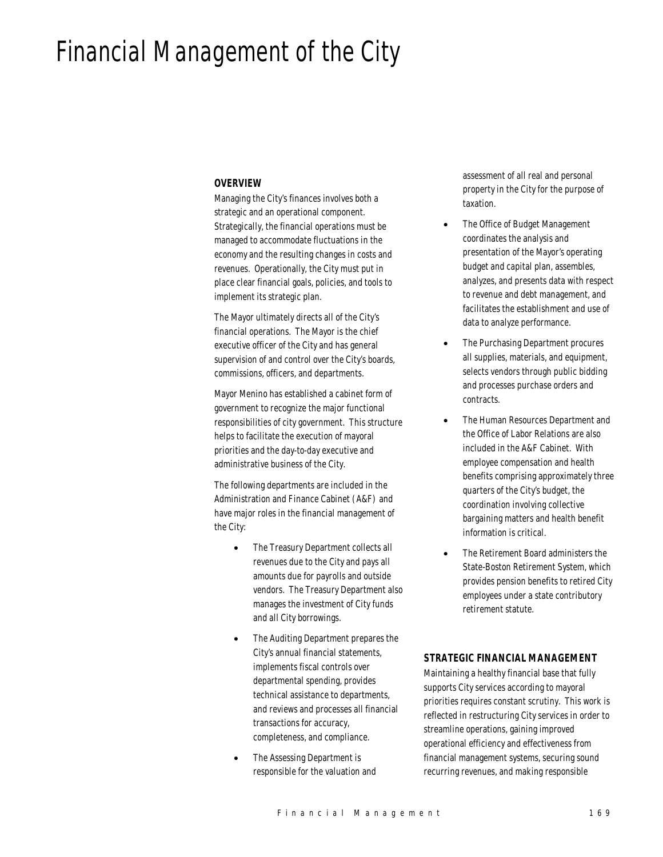# Financial Management of the City

#### *OVERVIEW*

Managing the City's finances involves both a strategic and an operational component. Strategically, the financial operations must be managed to accommodate fluctuations in the economy and the resulting changes in costs and revenues. Operationally, the City must put in place clear financial goals, policies, and tools to implement its strategic plan.

The Mayor ultimately directs all of the City's financial operations. The Mayor is the chief executive officer of the City and has general supervision of and control over the City's boards, commissions, officers, and departments.

Mayor Menino has established a cabinet form of government to recognize the major functional responsibilities of city government. This structure helps to facilitate the execution of mayoral priorities and the day-to-day executive and administrative business of the City.

The following departments are included in the Administration and Finance Cabinet (A&F) and have major roles in the financial management of the City:

- The Treasury Department collects all revenues due to the City and pays all amounts due for payrolls and outside vendors. The Treasury Department also manages the investment of City funds and all City borrowings.
- The Auditing Department prepares the City's annual financial statements, implements fiscal controls over departmental spending, provides technical assistance to departments, and reviews and processes all financial transactions for accuracy, completeness, and compliance.
- The Assessing Department is responsible for the valuation and

assessment of all real and personal property in the City for the purpose of taxation.

- The Office of Budget Management coordinates the analysis and presentation of the Mayor's operating budget and capital plan, assembles, analyzes, and presents data with respect to revenue and debt management, and facilitates the establishment and use of data to analyze performance.
- The Purchasing Department procures all supplies, materials, and equipment, selects vendors through public bidding and processes purchase orders and contracts.
- The Human Resources Department and the Office of Labor Relations are also included in the A&F Cabinet. With employee compensation and health benefits comprising approximately three quarters of the City's budget, the coordination involving collective bargaining matters and health benefit information is critical.
- The Retirement Board administers the State-Boston Retirement System, which provides pension benefits to retired City employees under a state contributory retirement statute.

## *STRATEGIC FINANCIAL MANAGEMENT*

Maintaining a healthy financial base that fully supports City services according to mayoral priorities requires constant scrutiny. This work is reflected in restructuring City services in order to streamline operations, gaining improved operational efficiency and effectiveness from financial management systems, securing sound recurring revenues, and making responsible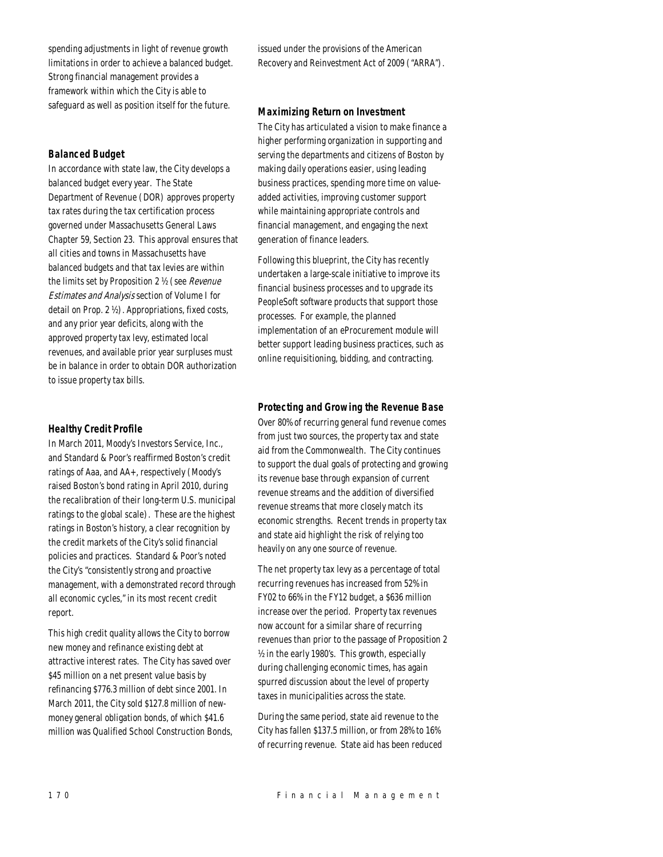spending adjustments in light of revenue growth limitations in order to achieve a balanced budget. Strong financial management provides a framework within which the City is able to safeguard as well as position itself for the future.

## *Balanced Budget*

In accordance with state law, the City develops a balanced budget every year. The State Department of Revenue (DOR) approves property tax rates during the tax certification process governed under Massachusetts General Laws Chapter 59, Section 23. This approval ensures that all cities and towns in Massachusetts have balanced budgets and that tax levies are within the limits set by Proposition 2 ½ (see Revenue Estimates and Analysis section of Volume I for detail on Prop. 2 ½). Appropriations, fixed costs, and any prior year deficits, along with the approved property tax levy, estimated local revenues, and available prior year surpluses must be in balance in order to obtain DOR authorization to issue property tax bills.

## *Healthy Credit Profile*

In March 2011, Moody's Investors Service, Inc., and Standard & Poor's reaffirmed Boston's credit ratings of Aaa, and AA+, respectively (Moody's raised Boston's bond rating in April 2010, during the recalibration of their long-term U.S. municipal ratings to the global scale). These are the highest ratings in Boston's history, a clear recognition by the credit markets of the City's solid financial policies and practices. Standard & Poor's noted the City's "consistently strong and proactive management, with a demonstrated record through all economic cycles," in its most recent credit report.

This high credit quality allows the City to borrow new money and refinance existing debt at attractive interest rates. The City has saved over \$45 million on a net present value basis by refinancing \$776.3 million of debt since 2001. In March 2011, the City sold \$127.8 million of newmoney general obligation bonds, of which \$41.6 million was Qualified School Construction Bonds, issued under the provisions of the American Recovery and Reinvestment Act of 2009 ("ARRA").

## *Maximizing Return on Investment*

The City has articulated a vision to make finance a higher performing organization in supporting and serving the departments and citizens of Boston by making daily operations easier, using leading business practices, spending more time on valueadded activities, improving customer support while maintaining appropriate controls and financial management, and engaging the next generation of finance leaders.

Following this blueprint, the City has recently undertaken a large-scale initiative to improve its financial business processes and to upgrade its PeopleSoft software products that support those processes. For example, the planned implementation of an eProcurement module will better support leading business practices, such as online requisitioning, bidding, and contracting.

## *Protecting and Growing the Revenue Base*

Over 80% of recurring general fund revenue comes from just two sources, the property tax and state aid from the Commonwealth. The City continues to support the dual goals of protecting and growing its revenue base through expansion of current revenue streams and the addition of diversified revenue streams that more closely match its economic strengths. Recent trends in property tax and state aid highlight the risk of relying too heavily on any one source of revenue.

The net property tax levy as a percentage of total recurring revenues has increased from 52% in FY02 to 66% in the FY12 budget, a \$636 million increase over the period. Property tax revenues now account for a similar share of recurring revenues than prior to the passage of Proposition 2 ½ in the early 1980's. This growth, especially during challenging economic times, has again spurred discussion about the level of property taxes in municipalities across the state.

During the same period, state aid revenue to the City has fallen \$137.5 million, or from 28% to 16% of recurring revenue. State aid has been reduced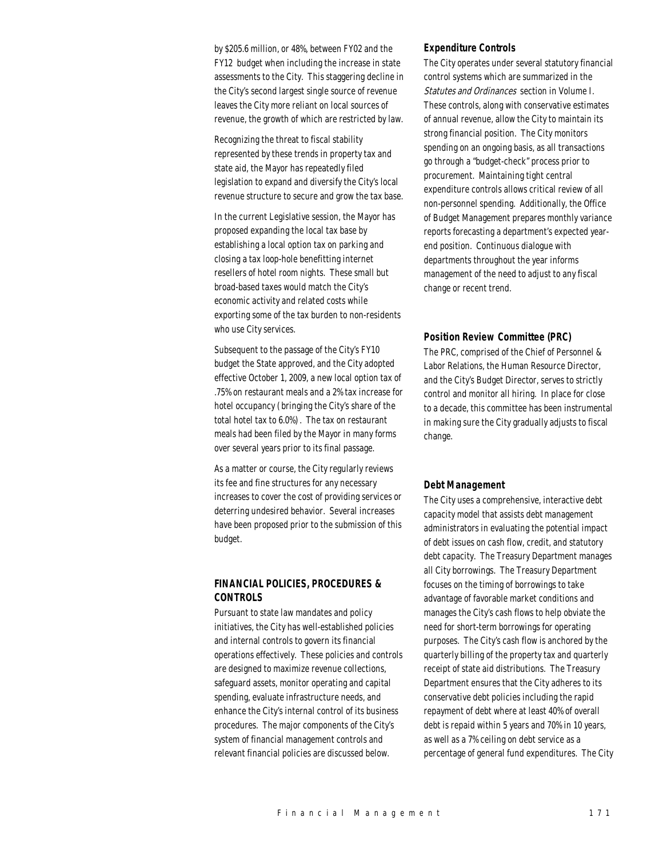by \$205.6 million, or 48%, between FY02 and the FY12 budget when including the increase in state assessments to the City. This staggering decline in the City's second largest single source of revenue leaves the City more reliant on local sources of revenue, the growth of which are restricted by law.

Recognizing the threat to fiscal stability represented by these trends in property tax and state aid, the Mayor has repeatedly filed legislation to expand and diversify the City's local revenue structure to secure and grow the tax base.

In the current Legislative session, the Mayor has proposed expanding the local tax base by establishing a local option tax on parking and closing a tax loop-hole benefitting internet resellers of hotel room nights. These small but broad-based taxes would match the City's economic activity and related costs while exporting some of the tax burden to non-residents who use City services.

Subsequent to the passage of the City's FY10 budget the State approved, and the City adopted effective October 1, 2009, a new local option tax of .75% on restaurant meals and a 2% tax increase for hotel occupancy (bringing the City's share of the total hotel tax to 6.0%). The tax on restaurant meals had been filed by the Mayor in many forms over several years prior to its final passage.

As a matter or course, the City regularly reviews its fee and fine structures for any necessary increases to cover the cost of providing services or deterring undesired behavior. Several increases have been proposed prior to the submission of this budget.

## *FINANCIAL POLICIES, PROCEDURES & CONTROLS*

Pursuant to state law mandates and policy initiatives, the City has well-established policies and internal controls to govern its financial operations effectively. These policies and controls are designed to maximize revenue collections, safeguard assets, monitor operating and capital spending, evaluate infrastructure needs, and enhance the City's internal control of its business procedures. The major components of the City's system of financial management controls and relevant financial policies are discussed below.

#### *Expenditure Controls*

The City operates under several statutory financial control systems which are summarized in the Statutes and Ordinances section in Volume I. These controls, along with conservative estimates of annual revenue, allow the City to maintain its strong financial position. The City monitors spending on an ongoing basis, as all transactions go through a "budget-check" process prior to procurement. Maintaining tight central expenditure controls allows critical review of all non-personnel spending. Additionally, the Office of Budget Management prepares monthly variance reports forecasting a department's expected yearend position. Continuous dialogue with departments throughout the year informs management of the need to adjust to any fiscal change or recent trend.

#### *Position Review Committee (PRC)*

The PRC, comprised of the Chief of Personnel & Labor Relations, the Human Resource Director, and the City's Budget Director, serves to strictly control and monitor all hiring. In place for close to a decade, this committee has been instrumental in making sure the City gradually adjusts to fiscal change.

#### *Debt Management*

The City uses a comprehensive, interactive debt capacity model that assists debt management administrators in evaluating the potential impact of debt issues on cash flow, credit, and statutory debt capacity. The Treasury Department manages all City borrowings. The Treasury Department focuses on the timing of borrowings to take advantage of favorable market conditions and manages the City's cash flows to help obviate the need for short-term borrowings for operating purposes. The City's cash flow is anchored by the quarterly billing of the property tax and quarterly receipt of state aid distributions. The Treasury Department ensures that the City adheres to its conservative debt policies including the rapid repayment of debt where at least 40% of overall debt is repaid within 5 years and 70% in 10 years, as well as a 7% ceiling on debt service as a percentage of general fund expenditures. The City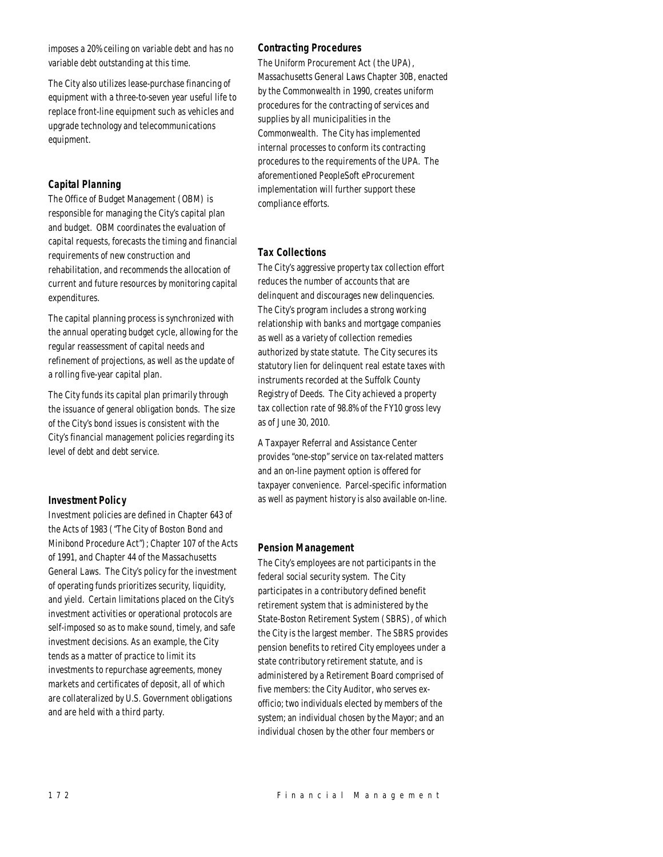imposes a 20% ceiling on variable debt and has no variable debt outstanding at this time.

The City also utilizes lease-purchase financing of equipment with a three-to-seven year useful life to replace front-line equipment such as vehicles and upgrade technology and telecommunications equipment.

## *Capital Planning*

The Office of Budget Management (OBM) is responsible for managing the City's capital plan and budget. OBM coordinates the evaluation of capital requests, forecasts the timing and financial requirements of new construction and rehabilitation, and recommends the allocation of current and future resources by monitoring capital expenditures.

The capital planning process is synchronized with the annual operating budget cycle, allowing for the regular reassessment of capital needs and refinement of projections, as well as the update of a rolling five-year capital plan.

The City funds its capital plan primarily through the issuance of general obligation bonds. The size of the City's bond issues is consistent with the City's financial management policies regarding its level of debt and debt service.

## *Investment Policy*

Investment policies are defined in Chapter 643 of the Acts of 1983 ("The City of Boston Bond and Minibond Procedure Act"); Chapter 107 of the Acts of 1991, and Chapter 44 of the Massachusetts General Laws. The City's policy for the investment of operating funds prioritizes security, liquidity, and yield. Certain limitations placed on the City's investment activities or operational protocols are self-imposed so as to make sound, timely, and safe investment decisions. As an example, the City tends as a matter of practice to limit its investments to repurchase agreements, money markets and certificates of deposit, all of which are collateralized by U.S. Government obligations and are held with a third party.

## *Contracting Procedures*

The Uniform Procurement Act (the UPA), Massachusetts General Laws Chapter 30B, enacted by the Commonwealth in 1990, creates uniform procedures for the contracting of services and supplies by all municipalities in the Commonwealth. The City has implemented internal processes to conform its contracting procedures to the requirements of the UPA. The aforementioned PeopleSoft eProcurement implementation will further support these compliance efforts.

## *Tax Collections*

The City's aggressive property tax collection effort reduces the number of accounts that are delinquent and discourages new delinquencies. The City's program includes a strong working relationship with banks and mortgage companies as well as a variety of collection remedies authorized by state statute. The City secures its statutory lien for delinquent real estate taxes with instruments recorded at the Suffolk County Registry of Deeds. The City achieved a property tax collection rate of 98.8% of the FY10 gross levy as of June 30, 2010.

A Taxpayer Referral and Assistance Center provides "one-stop" service on tax-related matters and an on-line payment option is offered for taxpayer convenience. Parcel-specific information as well as payment history is also available on-line.

## *Pension Management*

The City's employees are not participants in the federal social security system. The City participates in a contributory defined benefit retirement system that is administered by the State-Boston Retirement System (SBRS), of which the City is the largest member. The SBRS provides pension benefits to retired City employees under a state contributory retirement statute, and is administered by a Retirement Board comprised of five members: the City Auditor, who serves exofficio; two individuals elected by members of the system; an individual chosen by the Mayor; and an individual chosen by the other four members or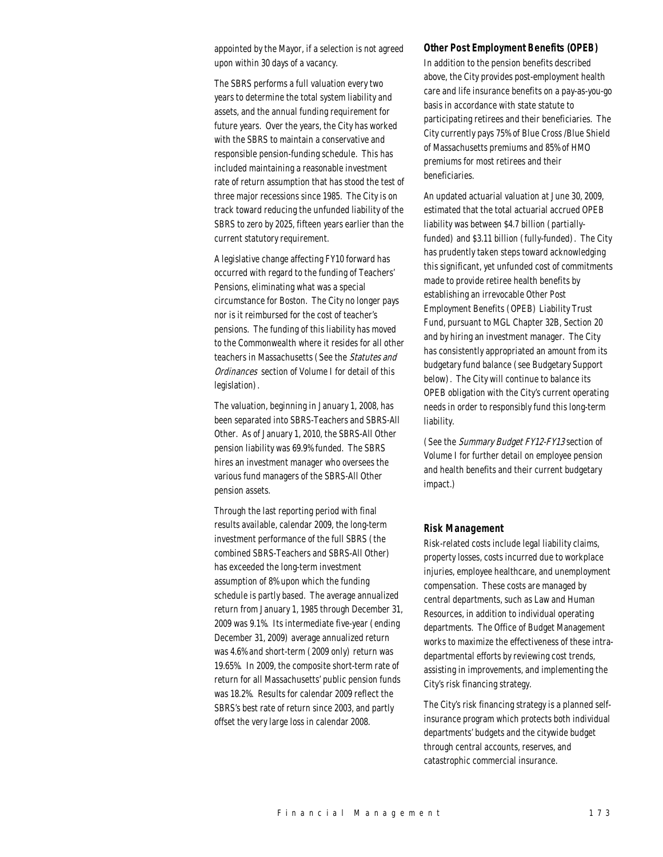appointed by the Mayor, if a selection is not agreed upon within 30 days of a vacancy.

The SBRS performs a full valuation every two years to determine the total system liability and assets, and the annual funding requirement for future years. Over the years, the City has worked with the SBRS to maintain a conservative and responsible pension-funding schedule. This has included maintaining a reasonable investment rate of return assumption that has stood the test of three major recessions since 1985. The City is on track toward reducing the unfunded liability of the SBRS to zero by 2025, fifteen years earlier than the current statutory requirement.

A legislative change affecting FY10 forward has occurred with regard to the funding of Teachers' Pensions, eliminating what was a special circumstance for Boston. The City no longer pays nor is it reimbursed for the cost of teacher's pensions. The funding of this liability has moved to the Commonwealth where it resides for all other teachers in Massachusetts (See the Statutes and Ordinances section of Volume I for detail of this legislation).

The valuation, beginning in January 1, 2008, has been separated into SBRS-Teachers and SBRS-All Other. As of January 1, 2010, the SBRS-All Other pension liability was 69.9% funded. The SBRS hires an investment manager who oversees the various fund managers of the SBRS-All Other pension assets.

Through the last reporting period with final results available, calendar 2009, the long-term investment performance of the full SBRS (the combined SBRS-Teachers and SBRS-All Other) has exceeded the long-term investment assumption of 8% upon which the funding schedule is partly based. The average annualized return from January 1, 1985 through December 31, 2009 was 9.1%. Its intermediate five-year (ending December 31, 2009) average annualized return was 4.6% and short-term (2009 only) return was 19.65%. In 2009, the composite short-term rate of return for all Massachusetts' public pension funds was 18.2%. Results for calendar 2009 reflect the SBRS's best rate of return since 2003, and partly offset the very large loss in calendar 2008.

#### *Other Post Employment Benefits (OPEB)*

In addition to the pension benefits described above, the City provides post-employment health care and life insurance benefits on a pay-as-you-go basis in accordance with state statute to participating retirees and their beneficiaries. The City currently pays 75% of Blue Cross /Blue Shield of Massachusetts premiums and 85% of HMO premiums for most retirees and their beneficiaries.

An updated actuarial valuation at June 30, 2009, estimated that the total actuarial accrued OPEB liability was between \$4.7 billion (partiallyfunded) and \$3.11 billion (fully-funded). The City has prudently taken steps toward acknowledging this significant, yet unfunded cost of commitments made to provide retiree health benefits by establishing an irrevocable Other Post Employment Benefits (OPEB) Liability Trust Fund, pursuant to MGL Chapter 32B, Section 20 and by hiring an investment manager. The City has consistently appropriated an amount from its budgetary fund balance (see Budgetary Support below). The City will continue to balance its OPEB obligation with the City's current operating needs in order to responsibly fund this long-term liability.

(See the Summary Budget FY12-FY13 section of Volume I for further detail on employee pension and health benefits and their current budgetary impact.)

#### *Risk Management*

Risk-related costs include legal liability claims, property losses, costs incurred due to workplace injuries, employee healthcare, and unemployment compensation. These costs are managed by central departments, such as Law and Human Resources, in addition to individual operating departments. The Office of Budget Management works to maximize the effectiveness of these intradepartmental efforts by reviewing cost trends, assisting in improvements, and implementing the City's risk financing strategy.

The City's risk financing strategy is a planned selfinsurance program which protects both individual departments' budgets and the citywide budget through central accounts, reserves, and catastrophic commercial insurance.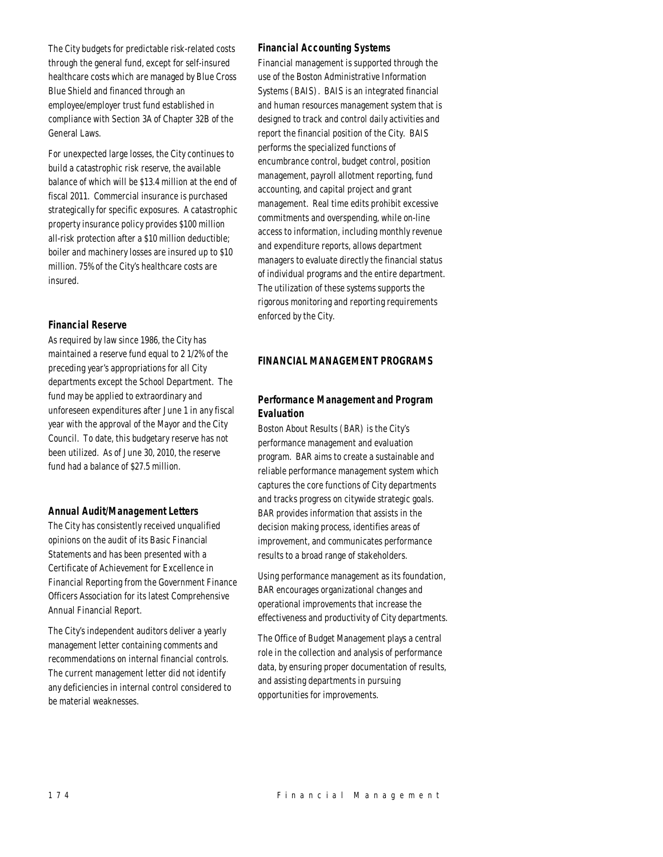The City budgets for predictable risk-related costs through the general fund, except for self-insured healthcare costs which are managed by Blue Cross Blue Shield and financed through an employee/employer trust fund established in compliance with Section 3A of Chapter 32B of the General Laws.

For unexpected large losses, the City continues to build a catastrophic risk reserve, the available balance of which will be \$13.4 million at the end of fiscal 2011. Commercial insurance is purchased strategically for specific exposures. A catastrophic property insurance policy provides \$100 million all-risk protection after a \$10 million deductible; boiler and machinery losses are insured up to \$10 million. 75% of the City's healthcare costs are insured.

## *Financial Reserve*

As required by law since 1986, the City has maintained a reserve fund equal to 2 1/2% of the preceding year's appropriations for all City departments except the School Department. The fund may be applied to extraordinary and unforeseen expenditures after June 1 in any fiscal year with the approval of the Mayor and the City Council. To date, this budgetary reserve has not been utilized. As of June 30, 2010, the reserve fund had a balance of \$27.5 million.

## *Annual Audit/Management Letters*

The City has consistently received unqualified opinions on the audit of its Basic Financial Statements and has been presented with a Certificate of Achievement for Excellence in Financial Reporting from the Government Finance Officers Association for its latest Comprehensive Annual Financial Report.

The City's independent auditors deliver a yearly management letter containing comments and recommendations on internal financial controls. The current management letter did not identify any deficiencies in internal control considered to be material weaknesses.

## *Financial Accounting Systems*

Financial management is supported through the use of the Boston Administrative Information Systems (BAIS). BAIS is an integrated financial and human resources management system that is designed to track and control daily activities and report the financial position of the City. BAIS performs the specialized functions of encumbrance control, budget control, position management, payroll allotment reporting, fund accounting, and capital project and grant management. Real time edits prohibit excessive commitments and overspending, while on-line access to information, including monthly revenue and expenditure reports, allows department managers to evaluate directly the financial status of individual programs and the entire department. The utilization of these systems supports the rigorous monitoring and reporting requirements enforced by the City.

## *FINANCIAL MANAGEMENT PROGRAMS*

## *Performance Management and Program Evaluation*

Boston About Results (BAR) is the City's performance management and evaluation program. BAR aims to create a sustainable and reliable performance management system which captures the core functions of City departments and tracks progress on citywide strategic goals. BAR provides information that assists in the decision making process, identifies areas of improvement, and communicates performance results to a broad range of stakeholders.

Using performance management as its foundation, BAR encourages organizational changes and operational improvements that increase the effectiveness and productivity of City departments.

The Office of Budget Management plays a central role in the collection and analysis of performance data, by ensuring proper documentation of results, and assisting departments in pursuing opportunities for improvements.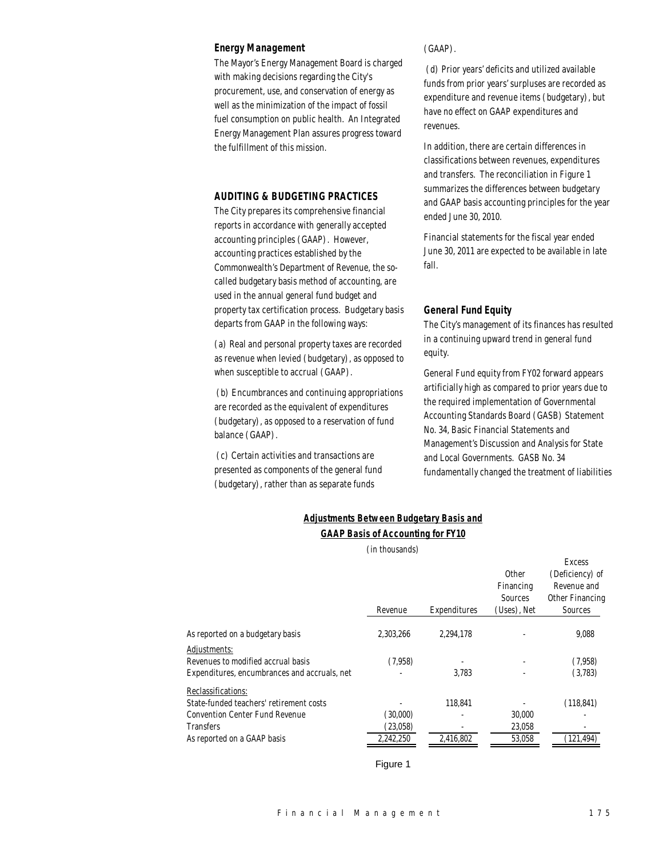#### *Energy Management*

The Mayor's Energy Management Board is charged with making decisions regarding the City's procurement, use, and conservation of energy as well as the minimization of the impact of fossil fuel consumption on public health. An Integrated Energy Management Plan assures progress toward the fulfillment of this mission.

#### *AUDITING & BUDGETING PRACTICES*

The City prepares its comprehensive financial reports in accordance with generally accepted accounting principles (GAAP). However, accounting practices established by the Commonwealth's Department of Revenue, the socalled budgetary basis method of accounting, are used in the annual general fund budget and property tax certification process. Budgetary basis departs from GAAP in the following ways:

(a) Real and personal property taxes are recorded as revenue when levied (budgetary), as opposed to when susceptible to accrual (GAAP).

 (b) Encumbrances and continuing appropriations are recorded as the equivalent of expenditures (budgetary), as opposed to a reservation of fund balance (GAAP).

 (c) Certain activities and transactions are presented as components of the general fund (budgetary), rather than as separate funds

(GAAP).

 (d) Prior years' deficits and utilized available funds from prior years' surpluses are recorded as expenditure and revenue items (budgetary), but have no effect on GAAP expenditures and revenues.

In addition, there are certain differences in classifications between revenues, expenditures and transfers. The reconciliation in Figure 1 summarizes the differences between budgetary and GAAP basis accounting principles for the year ended June 30, 2010.

Financial statements for the fiscal year ended June 30, 2011 are expected to be available in late fall.

#### *General Fund Equity*

The City's management of its finances has resulted in a continuing upward trend in general fund equity.

General Fund equity from FY02 forward appears artificially high as compared to prior years due to the required implementation of Governmental Accounting Standards Board (GASB) Statement No. 34, Basic Financial Statements and Management's Discussion and Analysis for State and Local Governments. GASB No. 34 fundamentally changed the treatment of liabilities

| <b>Adjustments Between Budgetary Basis and</b> |  |
|------------------------------------------------|--|
|                                                |  |

## *GAAP Basis of Accounting for FY10*

|                                              | (in thousands) |              |                                                     |                                                                               |
|----------------------------------------------|----------------|--------------|-----------------------------------------------------|-------------------------------------------------------------------------------|
|                                              | Revenue        | Expenditures | <b>Other</b><br>Financing<br>Sources<br>(Uses), Net | <b>Excess</b><br>(Deficiency) of<br>Revenue and<br>Other Financing<br>Sources |
| As reported on a budgetary basis             | 2.303.266      | 2.294.178    |                                                     | 9.088                                                                         |
| Adjustments:                                 |                |              |                                                     |                                                                               |
| Revenues to modified accrual basis           | (7,958)        |              |                                                     | (7.958)                                                                       |
| Expenditures, encumbrances and accruals, net |                | 3.783        |                                                     | (3,783)                                                                       |
| Reclassifications:                           |                |              |                                                     |                                                                               |
| State-funded teachers' retirement costs      |                | 118,841      |                                                     | (118, 841)                                                                    |
| <b>Convention Center Fund Revenue</b>        | (30,000)       |              | 30,000                                              |                                                                               |
| <b>Transfers</b>                             | (23,058)       |              | 23,058                                              |                                                                               |
| As reported on a GAAP basis                  | 2,242,250      | 2,416,802    | 53,058                                              | (121.494)                                                                     |

Figure 1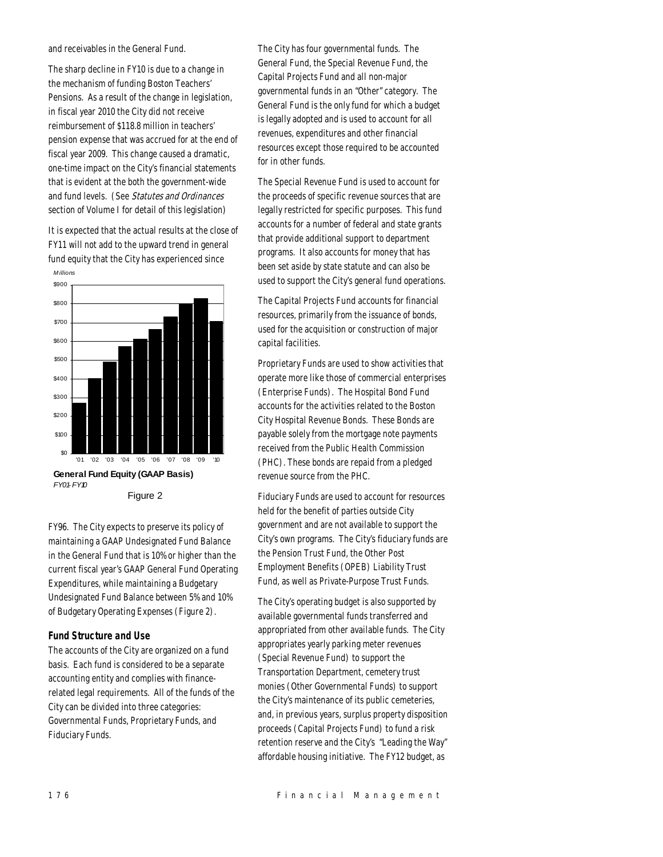and receivables in the General Fund.

The sharp decline in FY10 is due to a change in the mechanism of funding Boston Teachers' Pensions. As a result of the change in legislation, in fiscal year 2010 the City did not receive reimbursement of \$118.8 million in teachers' pension expense that was accrued for at the end of fiscal year 2009. This change caused a dramatic, one-time impact on the City's financial statements that is evident at the both the government-wide and fund levels. (See Statutes and Ordinances section of Volume I for detail of this legislation)

It is expected that the actual results at the close of FY11 will not add to the upward trend in general fund equity that the City has experienced since



FY96. The City expects to preserve its policy of maintaining a GAAP Undesignated Fund Balance in the General Fund that is 10% or higher than the current fiscal year's GAAP General Fund Operating Expenditures, while maintaining a Budgetary Undesignated Fund Balance between 5% and 10% of Budgetary Operating Expenses (Figure 2).

#### *Fund Structure and Use*

The accounts of the City are organized on a fund basis. Each fund is considered to be a separate accounting entity and complies with financerelated legal requirements. All of the funds of the City can be divided into three categories: Governmental Funds, Proprietary Funds, and Fiduciary Funds.

The City has four governmental funds. The General Fund, the Special Revenue Fund, the Capital Projects Fund and all non-major governmental funds in an "Other" category. The General Fund is the only fund for which a budget is legally adopted and is used to account for all revenues, expenditures and other financial resources except those required to be accounted for in other funds.

The Special Revenue Fund is used to account for the proceeds of specific revenue sources that are legally restricted for specific purposes. This fund accounts for a number of federal and state grants that provide additional support to department programs. It also accounts for money that has been set aside by state statute and can also be used to support the City's general fund operations.

The Capital Projects Fund accounts for financial resources, primarily from the issuance of bonds, used for the acquisition or construction of major capital facilities.

Proprietary Funds are used to show activities that operate more like those of commercial enterprises (Enterprise Funds). The Hospital Bond Fund accounts for the activities related to the Boston City Hospital Revenue Bonds. These Bonds are payable solely from the mortgage note payments received from the Public Health Commission (PHC). These bonds are repaid from a pledged revenue source from the PHC.

Fiduciary Funds are used to account for resources held for the benefit of parties outside City government and are not available to support the City's own programs. The City's fiduciary funds are the Pension Trust Fund, the Other Post Employment Benefits (OPEB) Liability Trust Fund, as well as Private-Purpose Trust Funds.

The City's operating budget is also supported by available governmental funds transferred and appropriated from other available funds. The City appropriates yearly parking meter revenues (Special Revenue Fund) to support the Transportation Department, cemetery trust monies (Other Governmental Funds) to support the City's maintenance of its public cemeteries, and, in previous years, surplus property disposition proceeds (Capital Projects Fund) to fund a risk retention reserve and the City's "Leading the Way" affordable housing initiative. The FY12 budget, as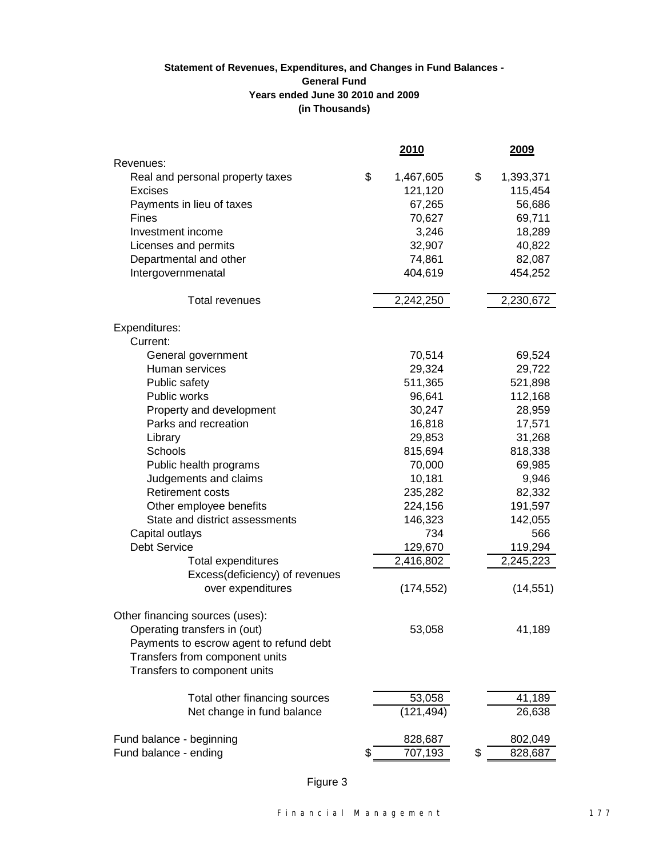## **(in Thousands) Statement of Revenues, Expenditures, and Changes in Fund Balances - General Fund Years ended June 30 2010 and 2009**

|                                         | 2010            | 2009            |
|-----------------------------------------|-----------------|-----------------|
| Revenues:                               |                 |                 |
| Real and personal property taxes        | \$<br>1,467,605 | \$<br>1,393,371 |
| Excises                                 | 121,120         | 115,454         |
| Payments in lieu of taxes               | 67,265          | 56,686          |
| <b>Fines</b>                            | 70,627          | 69,711          |
| Investment income                       | 3,246           | 18,289          |
| Licenses and permits                    | 32,907          | 40,822          |
| Departmental and other                  | 74,861          | 82,087          |
| Intergovernmenatal                      | 404,619         | 454,252         |
| <b>Total revenues</b>                   | 2,242,250       | 2,230,672       |
| Expenditures:                           |                 |                 |
| Current:                                |                 |                 |
| General government                      | 70,514          | 69,524          |
| Human services                          | 29,324          | 29,722          |
| Public safety                           | 511,365         | 521,898         |
| Public works                            | 96,641          | 112,168         |
| Property and development                | 30,247          | 28,959          |
| Parks and recreation                    | 16,818          | 17,571          |
| Library                                 | 29,853          | 31,268          |
| Schools                                 | 815,694         | 818,338         |
| Public health programs                  | 70,000          | 69,985          |
| Judgements and claims                   | 10,181          | 9,946           |
| <b>Retirement costs</b>                 | 235,282         | 82,332          |
| Other employee benefits                 | 224,156         | 191,597         |
| State and district assessments          | 146,323         | 142,055         |
| Capital outlays                         | 734             | 566             |
| <b>Debt Service</b>                     | 129,670         | 119,294         |
| Total expenditures                      | 2,416,802       | 2,245,223       |
| Excess(deficiency) of revenues          |                 |                 |
| over expenditures                       | (174, 552)      | (14, 551)       |
| Other financing sources (uses):         |                 |                 |
| Operating transfers in (out)            | 53,058          | 41,189          |
| Payments to escrow agent to refund debt |                 |                 |
| Transfers from component units          |                 |                 |
| Transfers to component units            |                 |                 |
| Total other financing sources           | 53,058          | 41,189          |
| Net change in fund balance              | (121, 494)      | 26,638          |
|                                         |                 |                 |
| Fund balance - beginning                | 828,687         | 802,049         |
| Fund balance - ending                   | \$<br>707,193   | \$<br>828,687   |

Figure 3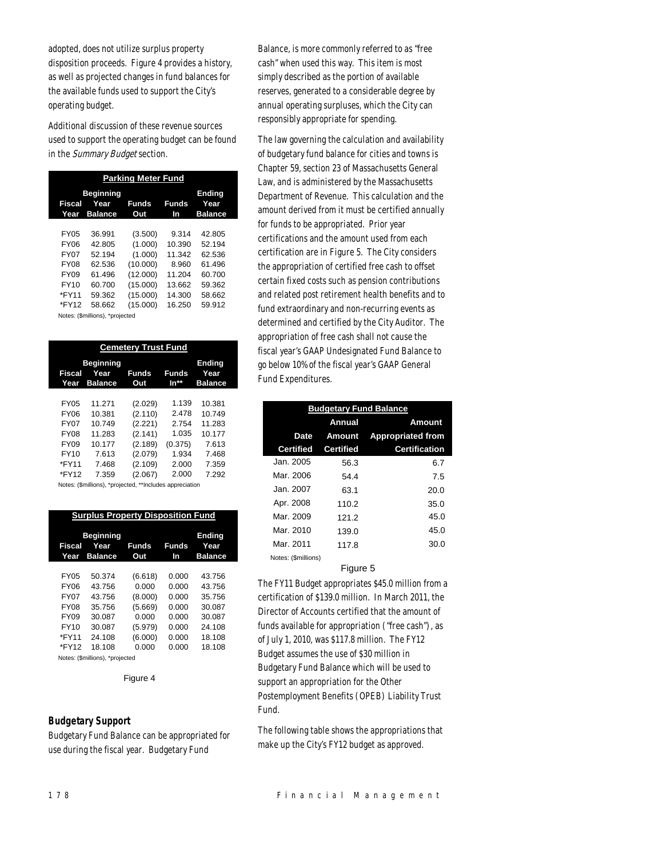adopted, does not utilize surplus property disposition proceeds. Figure 4 provides a history, as well as projected changes in fund balances for the available funds used to support the City's operating budget.

Additional discussion of these revenue sources used to support the operating budget can be found in the Summary Budget section.

| <b>Parking Meter Fund</b> |                                            |              |             |                                         |  |
|---------------------------|--------------------------------------------|--------------|-------------|-----------------------------------------|--|
| Fiscal<br>Year            | <b>Beginning</b><br>Year<br><b>Balance</b> | Funds<br>Out | Funds<br>In | <b>Ending</b><br>Year<br><b>Balance</b> |  |
|                           |                                            |              |             |                                         |  |
| FY05                      | 36.991                                     | (3.500)      | 9.314       | 42.805                                  |  |
| FY06                      | 42.805                                     | (1.000)      | 10.390      | 52.194                                  |  |
| FY07                      | 52.194                                     | (1.000)      | 11.342      | 62.536                                  |  |
| FY08                      | 62.536                                     | (10.000)     | 8.960       | 61.496                                  |  |
| FY09                      | 61.496                                     | (12.000)     | 11.204      | 60.700                                  |  |
| FY10                      | 60.700                                     | (15.000)     | 13.662      | 59.362                                  |  |
| *FY11                     | 59.362                                     | (15.000)     | 14.300      | 58.662                                  |  |
| *FY12                     | 58.662                                     | (15.000)     | 16.250      | 59.912                                  |  |
|                           | Notes: (\$millions), *projected            |              |             |                                         |  |

| <b>Cemetery Trust Fund</b>                                                                 |                                                                           |                                                                                      |                                                                        |                                                                          |  |
|--------------------------------------------------------------------------------------------|---------------------------------------------------------------------------|--------------------------------------------------------------------------------------|------------------------------------------------------------------------|--------------------------------------------------------------------------|--|
| Fiscal<br>Year                                                                             | <b>Beginning</b><br>Year<br><b>Balance</b>                                | <b>Funds</b><br>Out                                                                  | Funds<br>In**                                                          | <b>Ending</b><br>Year<br><b>Balance</b>                                  |  |
| FY05<br><b>FY06</b><br><b>FY07</b><br><b>FY08</b><br><b>FY09</b><br>FY10<br>*FY11<br>*FY12 | 11.271<br>10.381<br>10.749<br>11.283<br>10.177<br>7.613<br>7.468<br>7.359 | (2.029)<br>(2.110)<br>(2.221)<br>(2.141)<br>(2.189)<br>(2.079)<br>(2.109)<br>(2.067) | 1.139<br>2.478<br>2.754<br>1.035<br>(0.375)<br>1.934<br>2.000<br>2.000 | 10.381<br>10.749<br>11.283<br>10.177<br>7.613<br>7.468<br>7.359<br>7.292 |  |

Notes: (\$millions), \*projected, \*\*Includes appreciation

| <b>Surplus Property Disposition Fund</b> |                                            |                     |             |                                         |  |
|------------------------------------------|--------------------------------------------|---------------------|-------------|-----------------------------------------|--|
| Fiscal<br>Year                           | <b>Beginning</b><br>Year<br><b>Balance</b> | <b>Funds</b><br>Out | Funds<br>In | <b>Ending</b><br>Year<br><b>Balance</b> |  |
|                                          |                                            |                     |             |                                         |  |
| <b>FY05</b>                              | 50.374                                     | (6.618)             | 0.000       | 43.756                                  |  |
| FY06                                     | 43756                                      | 0.000               | 0.000       | 43.756                                  |  |
| <b>FY07</b>                              | 43756                                      | (8.000)             | 0.000       | 35.756                                  |  |
| <b>FY08</b>                              | 35 756                                     | (5.669)             | 0.000       | 30.087                                  |  |
| FY09                                     | 30.087                                     | 0.000               | 0.000       | 30.087                                  |  |
| FY10                                     | 30.087                                     | (5.979)             | 0.000       | 24.108                                  |  |
| *FY11                                    | 24.108                                     | (6.000)             | 0.000       | 18.108                                  |  |
| *FY12                                    | 18.108                                     | 0.000               | 0.000       | 18.108                                  |  |
|                                          | Notes: (\$millions), *projected            |                     |             |                                         |  |

Figure 4

### *Budgetary Support*

Budgetary Fund Balance can be appropriated for use during the fiscal year. Budgetary Fund

Balance, is more commonly referred to as "free cash" when used this way. This item is most simply described as the portion of available reserves, generated to a considerable degree by annual operating surpluses, which the City can responsibly appropriate for spending.

The law governing the calculation and availability of budgetary fund balance for cities and towns is Chapter 59, section 23 of Massachusetts General Law, and is administered by the Massachusetts Department of Revenue. This calculation and the amount derived from it must be certified annually for funds to be appropriated. Prior year certifications and the amount used from each certification are in Figure 5. The City considers the appropriation of certified free cash to offset certain fixed costs such as pension contributions and related post retirement health benefits and to fund extraordinary and non-recurring events as determined and certified by the City Auditor. The appropriation of free cash shall not cause the fiscal year's GAAP Undesignated Fund Balance to go below 10% of the fiscal year's GAAP General Fund Expenditures.

| <b>Budgetary Fund Balance</b> |                  |                          |  |  |  |
|-------------------------------|------------------|--------------------------|--|--|--|
|                               | Annual           | <b>Amount</b>            |  |  |  |
| <b>Date</b>                   | Amount           | <b>Appropriated from</b> |  |  |  |
| <b>Certified</b>              | <b>Certified</b> | <b>Certification</b>     |  |  |  |
| Jan. 2005                     | 56.3             | 6.7                      |  |  |  |
| Mar. 2006                     | 54.4             | 7.5                      |  |  |  |
| Jan. 2007                     | 63.1             | 20.0                     |  |  |  |
| Apr. 2008                     | 110.2            | 35.0                     |  |  |  |
| Mar. 2009                     | 121.2            | 45.0                     |  |  |  |
| Mar. 2010                     | 139.0            | 45.0                     |  |  |  |
| Mar. 2011                     | 117.8            | 30.0                     |  |  |  |
| Notes: (\$millions)           |                  |                          |  |  |  |

#### Figure 5

The FY11 Budget appropriates \$45.0 million from a certification of \$139.0 million. In March 2011, the Director of Accounts certified that the amount of funds available for appropriation ("free cash"), as of July 1, 2010, was \$117.8 million. The FY12 Budget assumes the use of \$30 million in Budgetary Fund Balance which will be used to support an appropriation for the Other Postemployment Benefits (OPEB) Liability Trust Fund.

The following table shows the appropriations that make up the City's FY12 budget as approved.